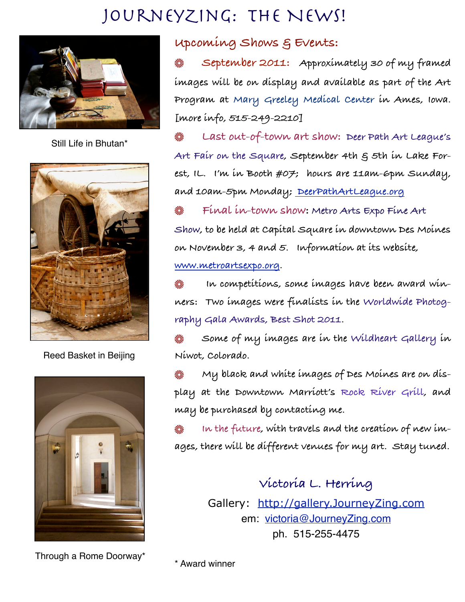## JourneyZing: The News!



Still Life in Bhutan\*



Reed Basket in Beijing



Through a Rome Doorway\*

## **Upcoming Shows & Events:**

▒ **September 2011: Approximately 30 of my framed images will be on display and available as part of the Art Program at Mary Greeley Medical Center in Ames, Iowa. [more info, 515-249-2210]** 

 **Last out-of-town art show: Deer Path Art League's**  Art Fair on the Square, September 4th  $\xi$  5th in Lake For**est, IL. I'm in Booth #07; hours are 11am-6pm Sunday, and 10am-5pm Monday; [DeerPathArtLeague.org](http://www.deerpathartleague.org/af-general.htm)**

 **Final in-town show: Metro Arts Expo Fine Art Show, to be held at Capital Square in downtown Des Moines on November 3, 4 and 5. Information at its website, [www.metroartsexpo.org.](http://www.metroartsexpo.org)**

 **In competitions, some images have been award winners: Two images were finalists in the Worldwide Photography Gala Awards, Best Shot 2011.** 

**Some of my images are in the Wildheart Gallery in**  ▓ **Niwot, Colorado.**

 **My black and white images of Des Moines are on display at the Downtown Marriott's Rock River Grill, and may be purchased by contacting me.**

 **In the future, with travels and the creation of new images, there will be different venues for my art. Stay tuned.** 

> **Victoria L. Herring** Gallery: <http://gallery.JourneyZing.com> em: [victoria@JourneyZing.com](mailto:victoria@JourneyZing.com) ph. 515-255-4475

\* Award winner